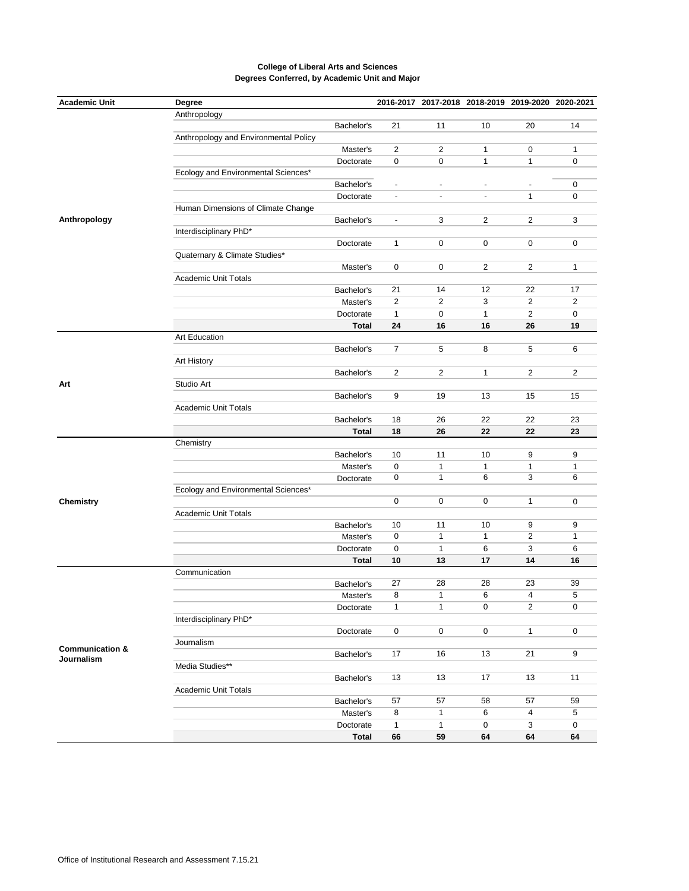| <b>Academic Unit</b>       | Degree                                |              |                          | 2016-2017 2017-2018 2018-2019 2019-2020 2020-2021 |                |                         |                |
|----------------------------|---------------------------------------|--------------|--------------------------|---------------------------------------------------|----------------|-------------------------|----------------|
|                            | Anthropology                          |              |                          |                                                   |                |                         |                |
|                            |                                       | Bachelor's   | 21                       | 11                                                | 10             | 20                      | 14             |
|                            | Anthropology and Environmental Policy |              |                          |                                                   |                |                         |                |
|                            |                                       | Master's     | $\overline{2}$           | $\overline{2}$                                    | $\mathbf{1}$   | 0                       | $\mathbf{1}$   |
|                            |                                       | Doctorate    | $\mathbf 0$              | $\mathbf 0$                                       | 1              | 1                       | 0              |
|                            | Ecology and Environmental Sciences*   |              |                          |                                                   |                |                         |                |
|                            |                                       | Bachelor's   |                          |                                                   |                |                         | $\mathbf 0$    |
|                            |                                       | Doctorate    | $\overline{\phantom{a}}$ | $\blacksquare$                                    | $\blacksquare$ | $\mathbf{1}$            | 0              |
|                            | Human Dimensions of Climate Change    |              |                          |                                                   |                |                         |                |
| Anthropology               |                                       | Bachelor's   | $\overline{\phantom{a}}$ | 3                                                 | $\overline{2}$ | 2                       | 3              |
|                            |                                       |              |                          |                                                   |                |                         |                |
|                            | Interdisciplinary PhD*                |              |                          |                                                   |                |                         |                |
|                            |                                       | Doctorate    | 1                        | 0                                                 | 0              | 0                       | 0              |
|                            | Quaternary & Climate Studies*         |              |                          |                                                   |                |                         |                |
|                            |                                       | Master's     | 0                        | 0                                                 | $\overline{2}$ | $\mathbf{2}$            | $\mathbf{1}$   |
|                            | <b>Academic Unit Totals</b>           |              |                          |                                                   |                |                         |                |
|                            |                                       | Bachelor's   | 21                       | 14                                                | 12             | 22                      | 17             |
|                            |                                       | Master's     | $\overline{2}$           | $\mathbf{2}$                                      | 3              | 2                       | $\overline{2}$ |
|                            |                                       | Doctorate    | $\mathbf{1}$             | 0                                                 | $\mathbf{1}$   | $\overline{c}$          | 0              |
|                            |                                       | Total        | 24                       | 16                                                | 16             | 26                      | 19             |
|                            | Art Education                         |              |                          |                                                   |                |                         |                |
|                            |                                       | Bachelor's   | $\overline{7}$           | 5                                                 | 8              | 5                       | 6              |
|                            | Art History                           |              |                          |                                                   |                |                         |                |
|                            |                                       | Bachelor's   | $\overline{2}$           | $\mathbf{2}$                                      | 1              | 2                       | $\overline{2}$ |
| Art                        | Studio Art                            |              |                          |                                                   |                |                         |                |
|                            |                                       | Bachelor's   | 9                        | 19                                                | 13             | 15                      | 15             |
|                            | <b>Academic Unit Totals</b>           |              |                          |                                                   |                |                         |                |
|                            |                                       | Bachelor's   | 18                       | 26                                                | 22             | 22                      | 23             |
|                            |                                       | <b>Total</b> | 18                       | 26                                                | 22             | 22                      | 23             |
|                            | Chemistry                             |              |                          |                                                   |                |                         |                |
|                            |                                       | Bachelor's   | 10                       | 11                                                | 10             | 9                       | 9              |
|                            |                                       |              | $\mathbf 0$              |                                                   |                |                         |                |
|                            |                                       | Master's     | $\mathbf 0$              | $\mathbf{1}$<br>$\mathbf{1}$                      | 1<br>6         | $\mathbf{1}$<br>3       | 1<br>6         |
|                            |                                       | Doctorate    |                          |                                                   |                |                         |                |
|                            | Ecology and Environmental Sciences*   |              |                          |                                                   |                |                         |                |
| Chemistry                  |                                       |              | $\mathsf 0$              | 0                                                 | 0              | 1                       | $\mathbf 0$    |
|                            | <b>Academic Unit Totals</b>           |              |                          |                                                   |                |                         |                |
|                            |                                       | Bachelor's   | 10                       | 11                                                | 10             | 9                       | 9              |
|                            |                                       | Master's     | $\mathsf{O}\xspace$      | $\mathbf{1}$                                      | 1              | $\overline{\mathbf{c}}$ | 1              |
|                            |                                       | Doctorate    | $\mathbf 0$              | $\mathbf{1}$                                      | 6              | 3                       | 6              |
|                            |                                       | <b>Total</b> | 10                       | 13                                                | 17             | 14                      | 16             |
|                            | Communication                         |              |                          |                                                   |                |                         |                |
|                            |                                       | Bachelor's   | 27                       | 28                                                | 28             | 23                      | 39             |
|                            |                                       | Master's     | 8                        | $\mathbf{1}$                                      | 6              | $\overline{4}$          | 5              |
|                            |                                       | Doctorate    | 1                        | 1                                                 | 0              | 2                       | 0              |
|                            | Interdisciplinary PhD*                |              |                          |                                                   |                |                         |                |
|                            |                                       | Doctorate    | 0                        | 0                                                 | $\mathsf 0$    | $\mathbf{1}$            | 0              |
|                            | Journalism                            |              |                          |                                                   |                |                         |                |
| <b>Communication &amp;</b> |                                       | Bachelor's   | 17                       | 16                                                | 13             | 21                      | 9              |
| Journalism                 | Media Studies**                       |              |                          |                                                   |                |                         |                |
|                            |                                       | Bachelor's   | 13                       | 13                                                | 17             | 13                      | 11             |
|                            | <b>Academic Unit Totals</b>           |              |                          |                                                   |                |                         |                |
|                            |                                       |              | 57                       | 57                                                | 58             | 57                      | 59             |
|                            |                                       | Bachelor's   | $\bf 8$                  | $\mathbf{1}$                                      | 6              | 4                       | 5              |
|                            |                                       | Master's     |                          |                                                   |                |                         |                |
|                            |                                       | Doctorate    | $\mathbf{1}$             | $\mathbf{1}$                                      | 0              | 3                       | $\mathbf 0$    |
|                            |                                       | Total        | 66                       | 59                                                | 64             | 64                      | 64             |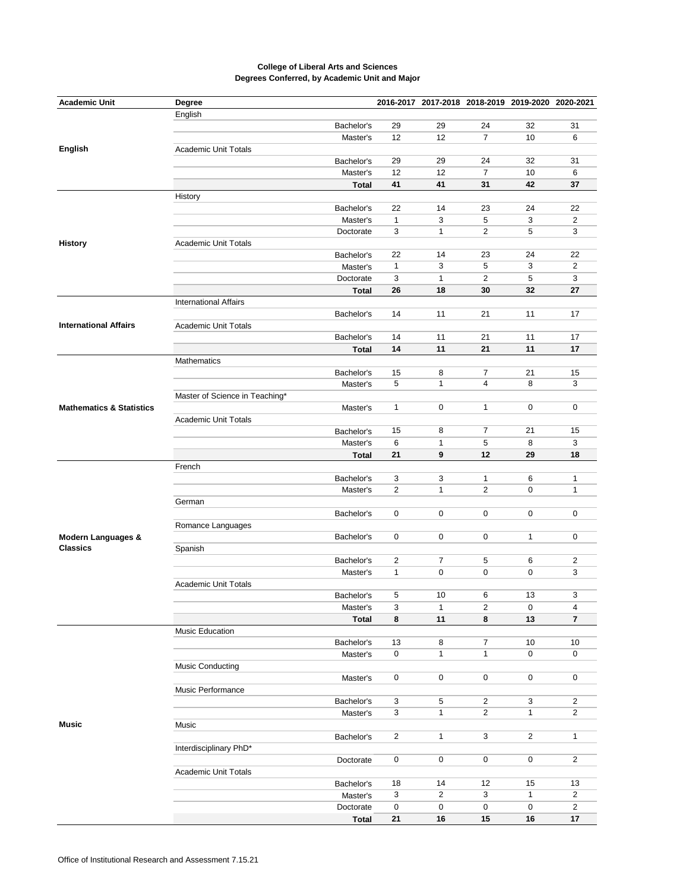| <b>Academic Unit</b>                             | Degree                         |              |                                |                | 2016-2017 2017-2018 2018-2019 2019-2020 2020-2021 |                |                     |
|--------------------------------------------------|--------------------------------|--------------|--------------------------------|----------------|---------------------------------------------------|----------------|---------------------|
|                                                  | English                        |              |                                |                |                                                   |                |                     |
|                                                  |                                | Bachelor's   | 29                             | 29             | 24                                                | 32             | 31                  |
|                                                  |                                | Master's     | 12                             | 12             | $\overline{7}$                                    | 10             | 6                   |
| English                                          | <b>Academic Unit Totals</b>    |              |                                |                |                                                   |                |                     |
|                                                  |                                | Bachelor's   | 29                             | 29             | 24                                                | 32             | 31                  |
|                                                  |                                | Master's     | 12                             | 12             | $\overline{7}$                                    | 10             | 6                   |
|                                                  |                                | <b>Total</b> | 41                             | 41             | 31                                                | 42             | 37                  |
|                                                  | History                        |              |                                |                |                                                   |                |                     |
|                                                  |                                | Bachelor's   | 22                             | 14             | 23                                                | 24             | 22                  |
|                                                  |                                | Master's     | $\mathbf{1}$                   | 3              | 5                                                 | 3              | $\overline{c}$      |
|                                                  |                                | Doctorate    | 3                              | $\mathbf{1}$   | $\overline{2}$                                    | 5              | 3                   |
| <b>History</b>                                   | <b>Academic Unit Totals</b>    |              |                                |                |                                                   |                |                     |
|                                                  |                                | Bachelor's   | 22                             | 14             | 23                                                | 24             | 22                  |
|                                                  |                                | Master's     | $\mathbf{1}$                   | 3              | 5                                                 | 3              | $\overline{2}$      |
|                                                  |                                | Doctorate    | 3                              | $\mathbf{1}$   | $\overline{2}$                                    | 5              | 3                   |
|                                                  |                                |              | 26                             | 18             | 30                                                | 32             | 27                  |
|                                                  |                                | <b>Total</b> |                                |                |                                                   |                |                     |
|                                                  | <b>International Affairs</b>   |              |                                |                |                                                   |                |                     |
|                                                  |                                | Bachelor's   | 14                             | 11             | 21                                                | 11             | 17                  |
| <b>International Affairs</b>                     | <b>Academic Unit Totals</b>    |              |                                |                |                                                   |                |                     |
|                                                  |                                | Bachelor's   | 14                             | 11             | 21                                                | 11             | 17                  |
|                                                  |                                | Total        | 14                             | 11             | 21                                                | 11             | 17                  |
|                                                  | Mathematics                    |              |                                |                |                                                   |                |                     |
|                                                  |                                | Bachelor's   | 15                             | 8              | $\overline{7}$                                    | 21             | 15                  |
|                                                  |                                | Master's     | 5                              | 1              | 4                                                 | 8              | 3                   |
|                                                  | Master of Science in Teaching* |              |                                |                |                                                   |                |                     |
| <b>Mathematics &amp; Statistics</b>              |                                | Master's     | $\mathbf{1}$                   | 0              | 1                                                 | $\mathbf 0$    | $\mathbf 0$         |
|                                                  | <b>Academic Unit Totals</b>    |              |                                |                |                                                   |                |                     |
|                                                  |                                | Bachelor's   | 15                             | 8              | 7                                                 | 21             | 15                  |
|                                                  |                                | Master's     | 6                              | $\mathbf{1}$   | 5                                                 | 8              | 3                   |
|                                                  |                                | <b>Total</b> | 21                             | 9              | 12                                                | 29             | 18                  |
|                                                  | French                         |              |                                |                |                                                   |                |                     |
|                                                  |                                | Bachelor's   | 3                              | 3              | $\mathbf{1}$                                      | 6              | 1                   |
|                                                  |                                | Master's     | $\overline{2}$                 | $\mathbf{1}$   | $\overline{2}$                                    | $\mathbf 0$    | 1                   |
|                                                  | German                         |              |                                |                |                                                   |                |                     |
|                                                  |                                | Bachelor's   | 0                              | 0              | 0                                                 | 0              | $\mathbf 0$         |
|                                                  | Romance Languages              |              |                                |                |                                                   |                |                     |
| <b>Modern Languages &amp;</b><br><b>Classics</b> |                                | Bachelor's   | 0                              | 0              | 0                                                 | $\mathbf{1}$   | $\mathbf 0$         |
|                                                  | Spanish                        |              |                                |                |                                                   |                |                     |
|                                                  |                                |              |                                | $\overline{7}$ |                                                   | 6              |                     |
|                                                  |                                | Bachelor's   | $\overline{2}$<br>$\mathbf{1}$ | 0              | 5<br>0                                            | $\mathbf 0$    | $\overline{2}$<br>3 |
|                                                  |                                | Master's     |                                |                |                                                   |                |                     |
|                                                  | <b>Academic Unit Totals</b>    |              | 5                              |                | 6                                                 |                | 3                   |
|                                                  |                                | Bachelor's   |                                | 10             |                                                   | 13             |                     |
|                                                  |                                | Master's     | 3                              | 1              | 2                                                 | 0              | 4                   |
|                                                  |                                | <b>Total</b> | 8                              | 11             | 8                                                 | 13             | $\overline{7}$      |
|                                                  | Music Education                |              |                                |                |                                                   |                |                     |
|                                                  |                                | Bachelor's   | 13                             | 8              | $\overline{7}$                                    | 10             | 10                  |
|                                                  |                                | Master's     | 0                              | $\mathbf{1}$   | $\mathbf{1}$                                      | $\mathbf 0$    | 0                   |
| <b>Music</b>                                     | <b>Music Conducting</b>        |              |                                |                |                                                   |                |                     |
|                                                  |                                | Master's     | 0                              | 0              | 0                                                 | 0              | 0                   |
|                                                  | Music Performance              |              |                                |                |                                                   |                |                     |
|                                                  |                                | Bachelor's   | 3                              | 5              | $\overline{2}$                                    | 3              | $\overline{2}$      |
|                                                  |                                | Master's     | 3                              | $\mathbf{1}$   | $\overline{c}$                                    | $\mathbf{1}$   | $\overline{2}$      |
|                                                  | Music                          |              |                                |                |                                                   |                |                     |
|                                                  |                                | Bachelor's   | $\overline{2}$                 | $\mathbf{1}$   | 3                                                 | $\overline{2}$ | $\mathbf{1}$        |
|                                                  | Interdisciplinary PhD*         |              |                                |                |                                                   |                |                     |
|                                                  |                                | Doctorate    | $\mathsf{O}\xspace$            | $\mathbf 0$    | 0                                                 | $\mathbf 0$    | $\overline{2}$      |
|                                                  | <b>Academic Unit Totals</b>    |              |                                |                |                                                   |                |                     |
|                                                  |                                | Bachelor's   | 18                             | 14             | 12                                                | 15             | 13                  |
|                                                  |                                | Master's     | $\mathbf{3}$                   | $\overline{2}$ | 3                                                 | $\mathbf{1}$   | $\overline{2}$      |
|                                                  |                                | Doctorate    | $\mathbf 0$                    | 0              | 0                                                 | 0              | $\overline{2}$      |
|                                                  |                                | <b>Total</b> | 21                             | 16             | 15                                                | 16             | 17                  |
|                                                  |                                |              |                                |                |                                                   |                |                     |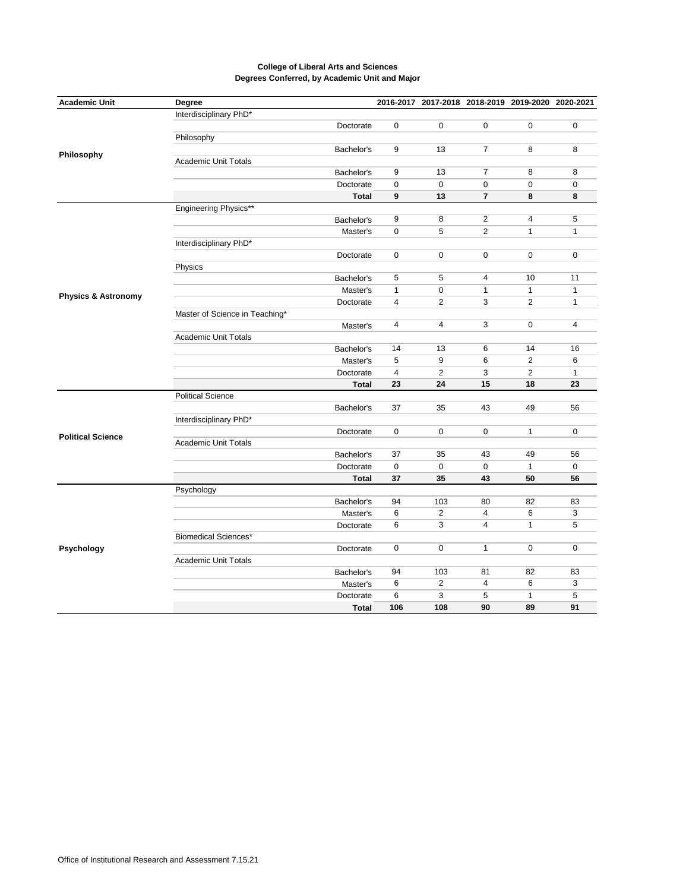| <b>Academic Unit</b>           | Degree                         |              |                | 2016-2017 2017-2018 2018-2019 2019-2020 2020-2021 |                |                |                |
|--------------------------------|--------------------------------|--------------|----------------|---------------------------------------------------|----------------|----------------|----------------|
|                                | Interdisciplinary PhD*         |              |                |                                                   |                |                |                |
|                                |                                | Doctorate    | 0              | 0                                                 | $\mathbf 0$    | $\mathbf 0$    | 0              |
|                                | Philosophy                     |              |                |                                                   |                |                |                |
|                                |                                | Bachelor's   | 9              | 13                                                | $\overline{7}$ | 8              | 8              |
| Philosophy                     | <b>Academic Unit Totals</b>    |              |                |                                                   |                |                |                |
|                                |                                | Bachelor's   | 9              | 13                                                | $\overline{7}$ | 8              | 8              |
|                                |                                | Doctorate    | 0              | $\mathbf 0$                                       | $\mathbf 0$    | $\mathbf 0$    | $\mathbf 0$    |
|                                |                                | <b>Total</b> | 9              | 13                                                | $\overline{7}$ | 8              | 8              |
|                                | Engineering Physics**          |              |                |                                                   |                |                |                |
|                                |                                | Bachelor's   | 9              | 8                                                 | $\overline{2}$ | 4              | 5              |
|                                |                                | Master's     | 0              | 5                                                 | $\sqrt{2}$     | $\mathbf{1}$   | $\mathbf{1}$   |
|                                | Interdisciplinary PhD*         |              |                |                                                   |                |                |                |
|                                |                                | Doctorate    | $\mathbf 0$    | $\mathbf 0$                                       | $\mathbf 0$    | $\mathbf 0$    | $\mathbf 0$    |
|                                | Physics                        |              |                |                                                   |                |                |                |
|                                |                                | Bachelor's   | 5              | 5                                                 | 4              | 10             | 11             |
|                                |                                | Master's     | $\mathbf{1}$   | 0                                                 | $\mathbf{1}$   | $\mathbf{1}$   | $\mathbf{1}$   |
| <b>Physics &amp; Astronomy</b> |                                | Doctorate    | $\overline{4}$ | $\overline{2}$                                    | 3              | $\overline{2}$ | $\mathbf{1}$   |
|                                | Master of Science in Teaching* |              |                |                                                   |                |                |                |
|                                |                                | Master's     | 4              | 4                                                 | 3              | $\mathbf 0$    | $\overline{4}$ |
|                                | <b>Academic Unit Totals</b>    |              |                |                                                   |                |                |                |
|                                |                                | Bachelor's   | 14             | 13                                                | 6              | 14             | 16             |
|                                |                                | Master's     | 5              | 9                                                 | 6              | $\mathbf{2}$   | 6              |
|                                |                                | Doctorate    | 4              | $\overline{2}$                                    | 3              | $\overline{2}$ | $\mathbf{1}$   |
|                                |                                | <b>Total</b> | 23             | 24                                                | 15             | 18             | 23             |
|                                | <b>Political Science</b>       |              |                |                                                   |                |                |                |
|                                |                                | Bachelor's   | 37             | 35                                                | 43             | 49             | 56             |
|                                | Interdisciplinary PhD*         |              |                |                                                   |                |                |                |
|                                |                                | Doctorate    | 0              | 0                                                 | $\mathbf 0$    | $\mathbf{1}$   | $\mathbf 0$    |
| <b>Political Science</b>       | <b>Academic Unit Totals</b>    |              |                |                                                   |                |                |                |
|                                |                                | Bachelor's   | 37             | 35                                                | 43             | 49             | 56             |
|                                |                                | Doctorate    | 0              | 0                                                 | $\mathbf 0$    | $\mathbf{1}$   | $\mathsf 0$    |
|                                |                                | <b>Total</b> | 37             | 35                                                | 43             | 50             | 56             |
|                                | Psychology                     |              |                |                                                   |                |                |                |
|                                |                                | Bachelor's   | 94             | 103                                               | 80             | 82             | 83             |
|                                |                                | Master's     | 6              | 2                                                 | 4              | 6              | 3              |
| Psychology                     |                                | Doctorate    | 6              | $\overline{3}$                                    | $\overline{4}$ | $\mathbf{1}$   | 5              |
|                                | <b>Biomedical Sciences*</b>    |              |                |                                                   |                |                |                |
|                                |                                | Doctorate    | 0              | 0                                                 | $\mathbf{1}$   | $\mathbf 0$    | $\mathbf 0$    |
|                                | <b>Academic Unit Totals</b>    |              |                |                                                   |                |                |                |
|                                |                                | Bachelor's   | 94             | 103                                               | 81             | 82             | 83             |
|                                |                                | Master's     | 6              | 2                                                 | $\overline{4}$ | 6              | 3              |
|                                |                                | Doctorate    | 6              | 3                                                 | 5              | $\mathbf{1}$   | 5              |
|                                |                                |              |                |                                                   | 90             |                |                |
|                                |                                | <b>Total</b> | 106            | 108                                               |                | 89             | 91             |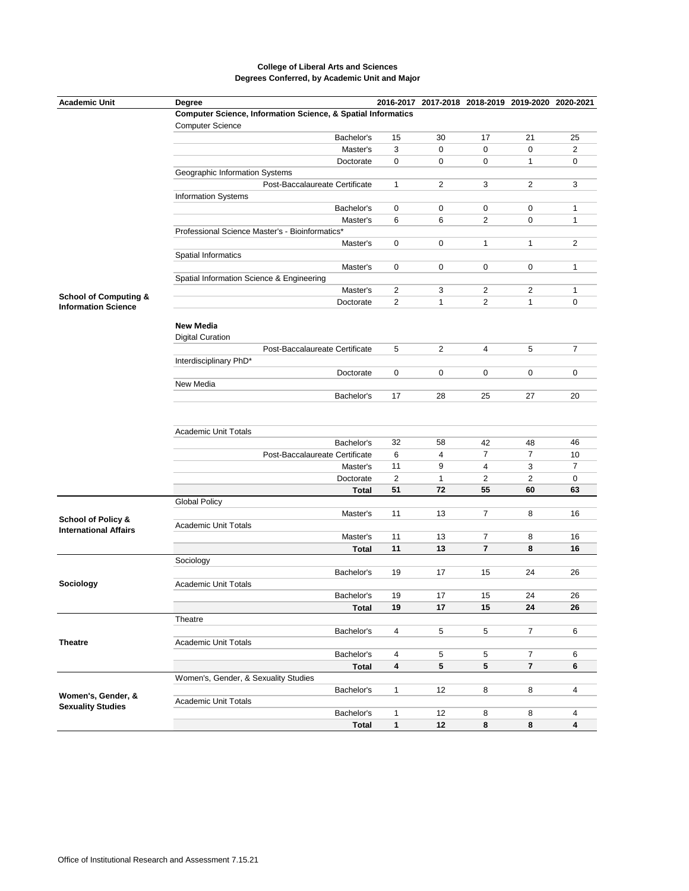| <b>Academic Unit</b>             | Degree                                                                                                                       |                |              |                |                |                |  |  |  |
|----------------------------------|------------------------------------------------------------------------------------------------------------------------------|----------------|--------------|----------------|----------------|----------------|--|--|--|
|                                  | 2016-2017 2017-2018 2018-2019 2019-2020 2020-2021<br><b>Computer Science, Information Science, &amp; Spatial Informatics</b> |                |              |                |                |                |  |  |  |
|                                  | <b>Computer Science</b>                                                                                                      |                |              |                |                |                |  |  |  |
|                                  | Bachelor's                                                                                                                   | 15             | 30           | 17             | 21             | 25             |  |  |  |
|                                  | Master's                                                                                                                     | 3              | $\mathbf 0$  | 0              | $\mathbf 0$    | $\overline{2}$ |  |  |  |
|                                  | Doctorate                                                                                                                    | 0              | 0            | 0              | $\mathbf{1}$   | 0              |  |  |  |
|                                  | Geographic Information Systems                                                                                               |                |              |                |                |                |  |  |  |
|                                  | Post-Baccalaureate Certificate                                                                                               | 1              | $\mathbf{2}$ | 3              | $\mathbf{2}$   | 3              |  |  |  |
|                                  | <b>Information Systems</b>                                                                                                   |                |              |                |                |                |  |  |  |
|                                  | Bachelor's                                                                                                                   | 0              | 0            | 0              | 0              | 1              |  |  |  |
|                                  | Master's                                                                                                                     | 6              | 6            | 2              | $\mathbf 0$    | $\mathbf{1}$   |  |  |  |
|                                  | Professional Science Master's - Bioinformatics*                                                                              |                |              |                |                |                |  |  |  |
|                                  | Master's                                                                                                                     | 0              | 0            | 1              | $\mathbf{1}$   | 2              |  |  |  |
|                                  | <b>Spatial Informatics</b>                                                                                                   |                |              |                |                |                |  |  |  |
|                                  | Master's                                                                                                                     | 0              | 0            | 0              | 0              | 1              |  |  |  |
|                                  | Spatial Information Science & Engineering                                                                                    |                |              |                |                |                |  |  |  |
|                                  | Master's                                                                                                                     | $\overline{c}$ | 3            | 2              | $\overline{c}$ | 1              |  |  |  |
| <b>School of Computing &amp;</b> | Doctorate                                                                                                                    | 2              | $\mathbf{1}$ | $\overline{2}$ | $\mathbf{1}$   | 0              |  |  |  |
| <b>Information Science</b>       |                                                                                                                              |                |              |                |                |                |  |  |  |
|                                  | <b>New Media</b>                                                                                                             |                |              |                |                |                |  |  |  |
|                                  | <b>Digital Curation</b>                                                                                                      |                |              |                |                |                |  |  |  |
|                                  | Post-Baccalaureate Certificate                                                                                               | 5              | 2            | 4              | 5              | $\overline{7}$ |  |  |  |
|                                  | Interdisciplinary PhD*                                                                                                       |                |              |                |                |                |  |  |  |
|                                  | Doctorate                                                                                                                    | 0              | 0            | 0              | 0              | 0              |  |  |  |
|                                  | New Media                                                                                                                    |                |              |                |                |                |  |  |  |
|                                  | Bachelor's                                                                                                                   | 17             | 28           | 25             | 27             | 20             |  |  |  |
|                                  |                                                                                                                              |                |              |                |                |                |  |  |  |
|                                  |                                                                                                                              |                |              |                |                |                |  |  |  |
|                                  | <b>Academic Unit Totals</b>                                                                                                  |                |              |                |                |                |  |  |  |
|                                  | Bachelor's                                                                                                                   | 32             | 58           | 42             | 48             | 46             |  |  |  |
|                                  | Post-Baccalaureate Certificate                                                                                               | 6              | 4            | $\overline{7}$ | $\overline{7}$ | 10             |  |  |  |
|                                  | Master's                                                                                                                     | 11             | 9            | 4              | 3              | $\overline{7}$ |  |  |  |
|                                  | Doctorate                                                                                                                    | $\overline{2}$ | $\mathbf{1}$ | $\overline{2}$ | $\mathbf{2}$   | 0              |  |  |  |
|                                  | Total                                                                                                                        | 51             | 72           | 55             | 60             | 63             |  |  |  |
|                                  | <b>Global Policy</b>                                                                                                         |                |              |                |                |                |  |  |  |
|                                  | Master's                                                                                                                     | 11             | 13           | $\overline{7}$ | 8              | 16             |  |  |  |
| <b>School of Policy &amp;</b>    | <b>Academic Unit Totals</b>                                                                                                  |                |              |                |                |                |  |  |  |
| <b>International Affairs</b>     | Master's                                                                                                                     | 11             | 13           | $\overline{7}$ | 8              | 16             |  |  |  |
|                                  | Total                                                                                                                        | 11             | 13           | $\overline{7}$ | 8              | 16             |  |  |  |
|                                  | Sociology                                                                                                                    |                |              |                |                |                |  |  |  |
|                                  | Bachelor's                                                                                                                   | 19             | 17           | 15             | 24             | 26             |  |  |  |
| Sociology                        | <b>Academic Unit Totals</b>                                                                                                  |                |              |                |                |                |  |  |  |
|                                  | Bachelor's                                                                                                                   | 19             | 17           | 15             | 24             | 26             |  |  |  |
|                                  | <b>Total</b>                                                                                                                 | 19             | 17           | 15             | 24             | 26             |  |  |  |
| <b>Theatre</b>                   | Theatre                                                                                                                      |                |              |                |                |                |  |  |  |
|                                  | Bachelor's                                                                                                                   | 4              | 5            | 5              | $\overline{7}$ | 6              |  |  |  |
|                                  | <b>Academic Unit Totals</b>                                                                                                  |                |              |                |                |                |  |  |  |
|                                  | Bachelor's                                                                                                                   | 4              | 5            | 5              | $\overline{7}$ | 6              |  |  |  |
|                                  | <b>Total</b>                                                                                                                 | 4              | 5            | 5              | $\overline{7}$ | 6              |  |  |  |
|                                  | Women's, Gender, & Sexuality Studies                                                                                         |                |              |                |                |                |  |  |  |
|                                  | Bachelor's                                                                                                                   | $\mathbf{1}$   | 12           | 8              | 8              | 4              |  |  |  |
| Women's, Gender, &               | <b>Academic Unit Totals</b>                                                                                                  |                |              |                |                |                |  |  |  |
| <b>Sexuality Studies</b>         | Bachelor's                                                                                                                   | $\mathbf{1}$   | 12           | 8              | 8              | 4              |  |  |  |
|                                  | <b>Total</b>                                                                                                                 | $\mathbf{1}$   | 12           | 8              | 8              | 4              |  |  |  |
|                                  |                                                                                                                              |                |              |                |                |                |  |  |  |